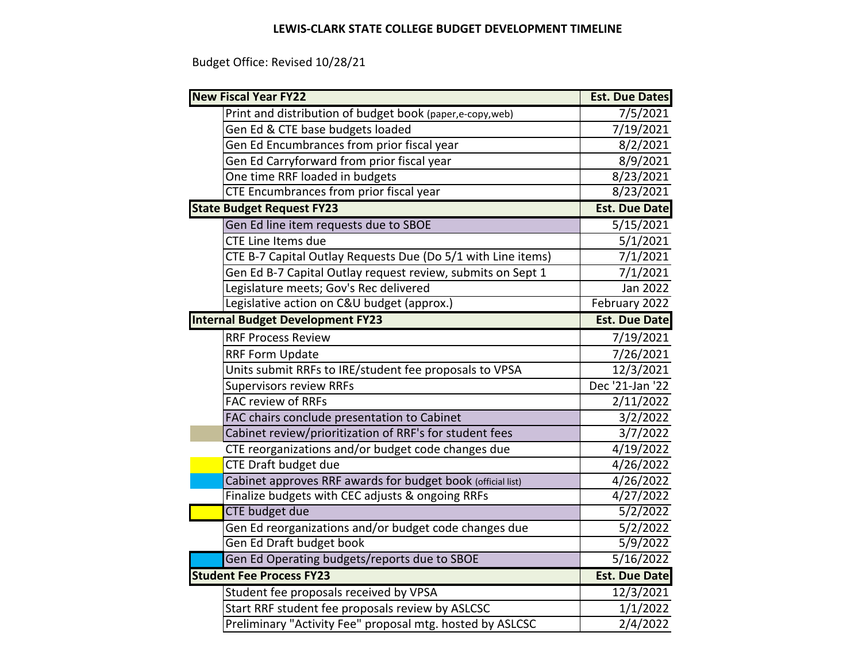## **LEWIS‐CLARK STATE COLLEGE BUDGET DEVELOPMENT TIMELINE**

Budget Office: Revised 10/28/21

| <b>New Fiscal Year FY22</b>                                  | <b>Est. Due Dates</b> |
|--------------------------------------------------------------|-----------------------|
| Print and distribution of budget book (paper,e-copy, web)    | 7/5/2021              |
| Gen Ed & CTE base budgets loaded                             | 7/19/2021             |
| Gen Ed Encumbrances from prior fiscal year                   | 8/2/2021              |
| Gen Ed Carryforward from prior fiscal year                   | 8/9/2021              |
| One time RRF loaded in budgets                               | 8/23/2021             |
| CTE Encumbrances from prior fiscal year                      | 8/23/2021             |
| <b>State Budget Request FY23</b>                             | <b>Est. Due Date</b>  |
| Gen Ed line item requests due to SBOE                        | $\frac{5}{15}{2021}$  |
| <b>CTE Line Items due</b>                                    | 5/1/2021              |
| CTE B-7 Capital Outlay Requests Due (Do 5/1 with Line items) | 7/1/2021              |
| Gen Ed B-7 Capital Outlay request review, submits on Sept 1  | 7/1/2021              |
| Legislature meets; Gov's Rec delivered                       | Jan 2022              |
| Legislative action on C&U budget (approx.)                   | February 2022         |
| <b>Internal Budget Development FY23</b>                      | <b>Est. Due Date</b>  |
| <b>RRF Process Review</b>                                    | 7/19/2021             |
| <b>RRF Form Update</b>                                       | 7/26/2021             |
| Units submit RRFs to IRE/student fee proposals to VPSA       | 12/3/2021             |
| <b>Supervisors review RRFs</b>                               | Dec '21-Jan '22       |
| <b>FAC review of RRFs</b>                                    | 2/11/2022             |
| FAC chairs conclude presentation to Cabinet                  | 3/2/2022              |
| Cabinet review/prioritization of RRF's for student fees      | $\frac{1}{3}/7/2022$  |
| CTE reorganizations and/or budget code changes due           | 4/19/2022             |
| <b>CTE Draft budget due</b>                                  | 4/26/2022             |
| Cabinet approves RRF awards for budget book (official list)  | 4/26/2022             |
| Finalize budgets with CEC adjusts & ongoing RRFs             | 4/27/2022             |
| <b>CTE</b> budget due                                        | 5/2/2022              |
| Gen Ed reorganizations and/or budget code changes due        | 5/2/2022              |
| Gen Ed Draft budget book                                     | 5/9/2022              |
| Gen Ed Operating budgets/reports due to SBOE                 | 5/16/2022             |
| <b>Student Fee Process FY23</b>                              | <b>Est. Due Date</b>  |
| Student fee proposals received by VPSA                       | 12/3/2021             |
| Start RRF student fee proposals review by ASLCSC             | 1/1/2022              |
| Preliminary "Activity Fee" proposal mtg. hosted by ASLCSC    | 2/4/2022              |